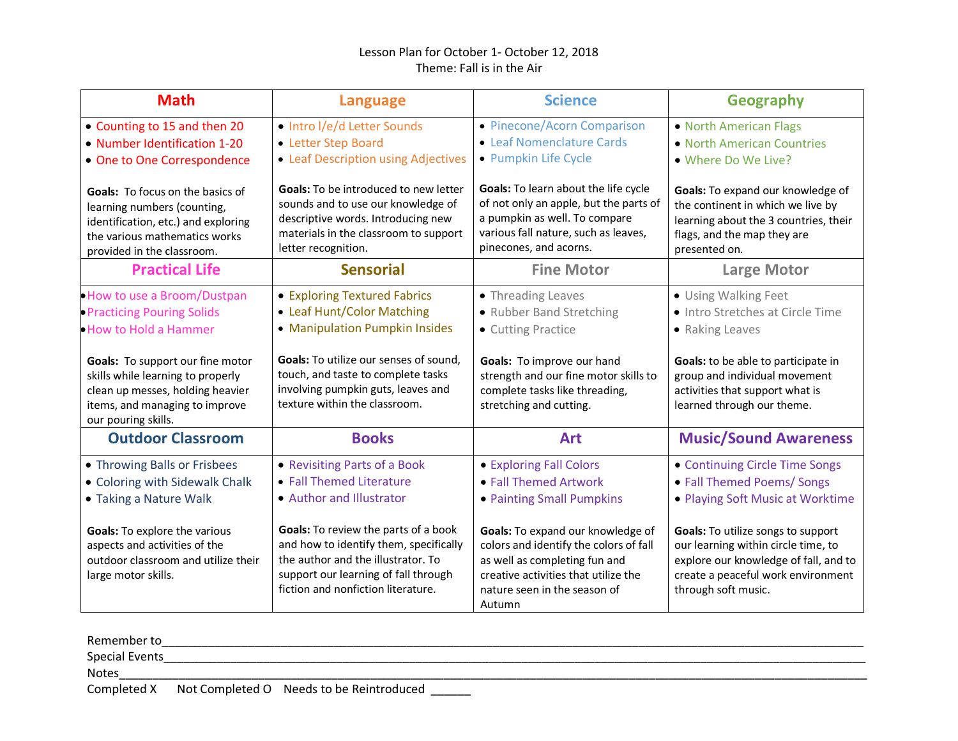## Lesson Plan for October 1- October 12, 2018 Theme: Fall is in the Air

| <b>Math</b>                                                                                                                                                                  | <b>Language</b>                                                                                                                                                                                    | <b>Science</b>                                                                                                                                                                                 | <b>Geography</b>                                                                                                                                                                |
|------------------------------------------------------------------------------------------------------------------------------------------------------------------------------|----------------------------------------------------------------------------------------------------------------------------------------------------------------------------------------------------|------------------------------------------------------------------------------------------------------------------------------------------------------------------------------------------------|---------------------------------------------------------------------------------------------------------------------------------------------------------------------------------|
| • Counting to 15 and then 20<br>• Number Identification 1-20<br>• One to One Correspondence                                                                                  | • Intro I/e/d Letter Sounds<br>• Letter Step Board<br>• Leaf Description using Adjectives                                                                                                          | • Pinecone/Acorn Comparison<br>• Leaf Nomenclature Cards<br>• Pumpkin Life Cycle                                                                                                               | • North American Flags<br>• North American Countries<br>. Where Do We Live?                                                                                                     |
| <b>Goals:</b> To focus on the basics of<br>learning numbers (counting,<br>identification, etc.) and exploring<br>the various mathematics works<br>provided in the classroom. | Goals: To be introduced to new letter<br>sounds and to use our knowledge of<br>descriptive words. Introducing new<br>materials in the classroom to support<br>letter recognition.                  | Goals: To learn about the life cycle<br>of not only an apple, but the parts of<br>a pumpkin as well. To compare<br>various fall nature, such as leaves,<br>pinecones, and acorns.              | Goals: To expand our knowledge of<br>the continent in which we live by<br>learning about the 3 countries, their<br>flags, and the map they are<br>presented on.                 |
| <b>Practical Life</b>                                                                                                                                                        | <b>Sensorial</b>                                                                                                                                                                                   | <b>Fine Motor</b>                                                                                                                                                                              | <b>Large Motor</b>                                                                                                                                                              |
| . How to use a Broom/Dustpan<br>• Practicing Pouring Solids<br>. How to Hold a Hammer                                                                                        | • Exploring Textured Fabrics<br>• Leaf Hunt/Color Matching<br>• Manipulation Pumpkin Insides                                                                                                       | • Threading Leaves<br>• Rubber Band Stretching<br>• Cutting Practice                                                                                                                           | • Using Walking Feet<br>· Intro Stretches at Circle Time<br>• Raking Leaves                                                                                                     |
| Goals: To support our fine motor<br>skills while learning to properly<br>clean up messes, holding heavier<br>items, and managing to improve<br>our pouring skills.           | <b>Goals:</b> To utilize our senses of sound,<br>touch, and taste to complete tasks<br>involving pumpkin guts, leaves and<br>texture within the classroom.                                         | Goals: To improve our hand<br>strength and our fine motor skills to<br>complete tasks like threading,<br>stretching and cutting.                                                               | Goals: to be able to participate in<br>group and individual movement<br>activities that support what is<br>learned through our theme.                                           |
| <b>Outdoor Classroom</b>                                                                                                                                                     | <b>Books</b>                                                                                                                                                                                       | <b>Art</b>                                                                                                                                                                                     | <b>Music/Sound Awareness</b>                                                                                                                                                    |
| • Throwing Balls or Frisbees<br>• Coloring with Sidewalk Chalk<br>• Taking a Nature Walk                                                                                     | • Revisiting Parts of a Book<br>• Fall Themed Literature<br>• Author and Illustrator                                                                                                               | • Exploring Fall Colors<br>• Fall Themed Artwork<br>• Painting Small Pumpkins                                                                                                                  | • Continuing Circle Time Songs<br>• Fall Themed Poems/ Songs<br>• Playing Soft Music at Worktime                                                                                |
| Goals: To explore the various<br>aspects and activities of the<br>outdoor classroom and utilize their<br>large motor skills.                                                 | Goals: To review the parts of a book<br>and how to identify them, specifically<br>the author and the illustrator. To<br>support our learning of fall through<br>fiction and nonfiction literature. | Goals: To expand our knowledge of<br>colors and identify the colors of fall<br>as well as completing fun and<br>creative activities that utilize the<br>nature seen in the season of<br>Autumn | Goals: To utilize songs to support<br>our learning within circle time, to<br>explore our knowledge of fall, and to<br>create a peaceful work environment<br>through soft music. |

| Remember to           |                                                      |  |
|-----------------------|------------------------------------------------------|--|
| <b>Special Events</b> |                                                      |  |
| <b>Notes</b>          |                                                      |  |
|                       | Completed X Not Completed O Needs to be Reintroduced |  |